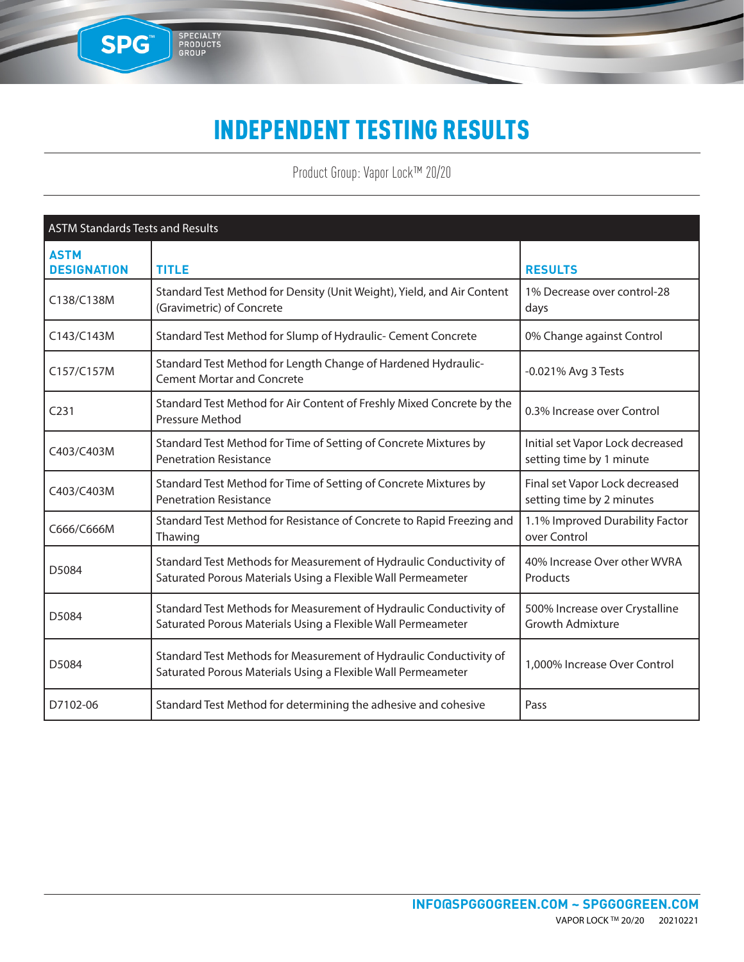### INDEPENDENT TESTING RESULTS

SPG

SPECIALTY<br>PRODUCTS<br>GROUP

Product Group: Vapor Lock™ 20/20

| <b>ASTM Standards Tests and Results</b> |                                                                                                                                    |                                                              |
|-----------------------------------------|------------------------------------------------------------------------------------------------------------------------------------|--------------------------------------------------------------|
| <b>ASTM</b><br><b>DESIGNATION</b>       | <b>TITLE</b>                                                                                                                       | <b>RESULTS</b>                                               |
| C138/C138M                              | Standard Test Method for Density (Unit Weight), Yield, and Air Content<br>(Gravimetric) of Concrete                                | 1% Decrease over control-28<br>days                          |
| C143/C143M                              | Standard Test Method for Slump of Hydraulic- Cement Concrete                                                                       | 0% Change against Control                                    |
| C157/C157M                              | Standard Test Method for Length Change of Hardened Hydraulic-<br><b>Cement Mortar and Concrete</b>                                 | -0.021% Avg 3 Tests                                          |
| C <sub>231</sub>                        | Standard Test Method for Air Content of Freshly Mixed Concrete by the<br>Pressure Method                                           | 0.3% Increase over Control                                   |
| C403/C403M                              | Standard Test Method for Time of Setting of Concrete Mixtures by<br><b>Penetration Resistance</b>                                  | Initial set Vapor Lock decreased<br>setting time by 1 minute |
| C403/C403M                              | Standard Test Method for Time of Setting of Concrete Mixtures by<br><b>Penetration Resistance</b>                                  | Final set Vapor Lock decreased<br>setting time by 2 minutes  |
| C666/C666M                              | Standard Test Method for Resistance of Concrete to Rapid Freezing and<br>Thawing                                                   | 1.1% Improved Durability Factor<br>over Control              |
| D5084                                   | Standard Test Methods for Measurement of Hydraulic Conductivity of<br>Saturated Porous Materials Using a Flexible Wall Permeameter | 40% Increase Over other WVRA<br>Products                     |
| D5084                                   | Standard Test Methods for Measurement of Hydraulic Conductivity of<br>Saturated Porous Materials Using a Flexible Wall Permeameter | 500% Increase over Crystalline<br><b>Growth Admixture</b>    |
| D5084                                   | Standard Test Methods for Measurement of Hydraulic Conductivity of<br>Saturated Porous Materials Using a Flexible Wall Permeameter | 1,000% Increase Over Control                                 |
| D7102-06                                | Standard Test Method for determining the adhesive and cohesive                                                                     | Pass                                                         |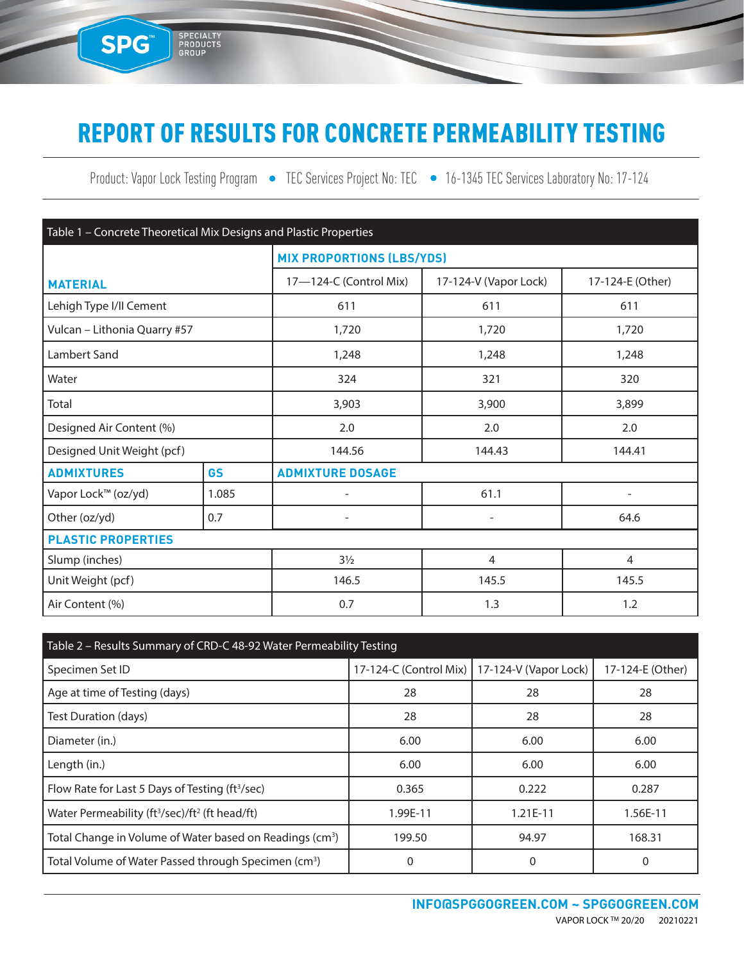## REPORT OF RESULTS FOR CONCRETE PERMEABILITY TESTING

SPG<sup>®</sup>

SPECIALTY<br>PRODUCTS<br>GROUP

Product: Vapor Lock Testing Program • TEC Services Project No: TEC • 16-1345 TEC Services Laboratory No: 17-124

| Table 1 - Concrete Theoretical Mix Designs and Plastic Properties |           |                                  |                          |                          |  |  |
|-------------------------------------------------------------------|-----------|----------------------------------|--------------------------|--------------------------|--|--|
|                                                                   |           | <b>MIX PROPORTIONS (LBS/YDS)</b> |                          |                          |  |  |
| <b>MATERIAL</b>                                                   |           | 17-124-C (Control Mix)           | 17-124-V (Vapor Lock)    | 17-124-E (Other)         |  |  |
| Lehigh Type I/II Cement                                           |           | 611                              | 611                      | 611                      |  |  |
| Vulcan - Lithonia Quarry #57                                      |           | 1,720                            | 1,720                    | 1,720                    |  |  |
| Lambert Sand                                                      |           | 1,248                            | 1,248                    | 1,248                    |  |  |
| Water                                                             |           | 324                              | 321                      | 320                      |  |  |
| Total                                                             |           | 3,903                            | 3,900<br>3,899           |                          |  |  |
| Designed Air Content (%)                                          |           | 2.0                              | 2.0                      | 2.0                      |  |  |
| Designed Unit Weight (pcf)                                        |           | 144.56<br>144.43<br>144.41       |                          |                          |  |  |
| <b>ADMIXTURES</b>                                                 | <b>GS</b> | <b>ADMIXTURE DOSAGE</b>          |                          |                          |  |  |
| Vapor Lock™ (oz/yd)                                               | 1.085     |                                  | 61.1                     | $\overline{\phantom{0}}$ |  |  |
| Other (oz/yd)                                                     | 0.7       | $\overline{\phantom{0}}$         | $\overline{\phantom{a}}$ | 64.6                     |  |  |
| <b>PLASTIC PROPERTIES</b>                                         |           |                                  |                          |                          |  |  |
| Slump (inches)                                                    |           | $3\frac{1}{2}$                   | $\overline{4}$           | $\overline{4}$           |  |  |
| Unit Weight (pcf)                                                 |           | 146.5<br>145.5                   |                          | 145.5                    |  |  |
| Air Content (%)                                                   |           | 0.7<br>1.3                       |                          | 1.2                      |  |  |

| Table 2 - Results Summary of CRD-C 48-92 Water Permeability Testing    |                                                |            |                  |  |  |
|------------------------------------------------------------------------|------------------------------------------------|------------|------------------|--|--|
| Specimen Set ID                                                        | 17-124-C (Control Mix)   17-124-V (Vapor Lock) |            | 17-124-E (Other) |  |  |
| Age at time of Testing (days)                                          | 28                                             | 28         | 28               |  |  |
| Test Duration (days)                                                   | 28                                             | 28         | 28               |  |  |
| Diameter (in.)                                                         | 6.00                                           | 6.00       | 6.00             |  |  |
| Length (in.)                                                           | 6.00                                           | 6.00       | 6.00             |  |  |
| Flow Rate for Last 5 Days of Testing (ft <sup>3</sup> /sec)            | 0.365                                          | 0.222      | 0.287            |  |  |
| Water Permeability (ft <sup>3</sup> /sec)/ft <sup>2</sup> (ft head/ft) | 1.99E-11                                       | $1.21E-11$ | 1.56E-11         |  |  |
| Total Change in Volume of Water based on Readings (cm <sup>3</sup> )   | 199.50                                         | 94.97      | 168.31           |  |  |
| Total Volume of Water Passed through Specimen (cm <sup>3</sup> )       |                                                | $\Omega$   | 0                |  |  |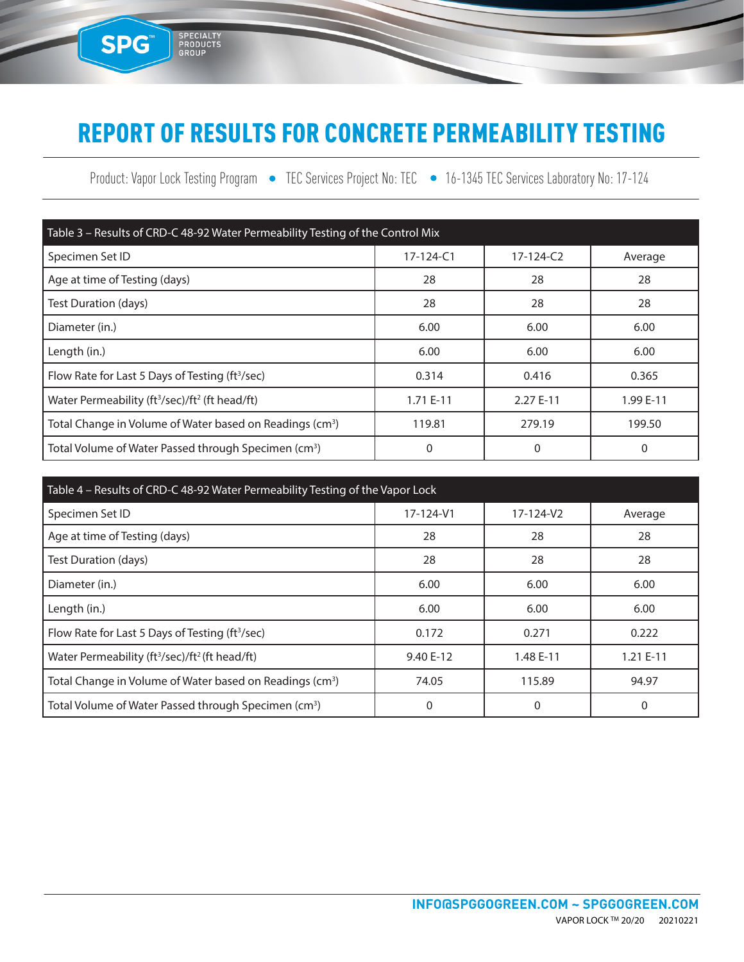### REPORT OF RESULTS FOR CONCRETE PERMEABILITY TESTING

SPG<sup>®</sup>

SPECIALTY<br>PRODUCTS<br>GROUP

Product: Vapor Lock Testing Program • TEC Services Project No: TEC • 16-1345 TEC Services Laboratory No: 17-124

| Table 3 - Results of CRD-C 48-92 Water Permeability Testing of the Control Mix |                 |                 |           |  |  |
|--------------------------------------------------------------------------------|-----------------|-----------------|-----------|--|--|
| Specimen Set ID                                                                | $17 - 124 - C1$ | $17 - 124 - C2$ | Average   |  |  |
| Age at time of Testing (days)                                                  | 28              | 28              | 28        |  |  |
| Test Duration (days)                                                           | 28              | 28              | 28        |  |  |
| Diameter (in.)                                                                 | 6.00            | 6.00            | 6.00      |  |  |
| Length (in.)                                                                   | 6.00            | 6.00            | 6.00      |  |  |
| Flow Rate for Last 5 Days of Testing (ft <sup>3</sup> /sec)                    | 0.314           | 0.416           | 0.365     |  |  |
| Water Permeability (ft <sup>3</sup> /sec)/ft <sup>2</sup> (ft head/ft)         | 1.71 E-11       | 2.27 E-11       | 1.99 E-11 |  |  |
| Total Change in Volume of Water based on Readings (cm <sup>3</sup> )           | 119.81          | 279.19          | 199.50    |  |  |
| Total Volume of Water Passed through Specimen (cm <sup>3</sup> )               | 0               | 0               | 0         |  |  |

| Table 4 - Results of CRD-C 48-92 Water Permeability Testing of the Vapor Lock |           |           |            |  |  |  |
|-------------------------------------------------------------------------------|-----------|-----------|------------|--|--|--|
| Specimen Set ID                                                               | 17-124-V1 | 17-124-V2 | Average    |  |  |  |
| Age at time of Testing (days)                                                 | 28        | 28        | 28         |  |  |  |
| Test Duration (days)                                                          | 28        | 28        | 28         |  |  |  |
| Diameter (in.)                                                                | 6.00      | 6.00      | 6.00       |  |  |  |
| Length (in.)                                                                  | 6.00      | 6.00      | 6.00       |  |  |  |
| Flow Rate for Last 5 Days of Testing (ft <sup>3</sup> /sec)                   | 0.172     | 0.271     | 0.222      |  |  |  |
| Water Permeability (ft <sup>3</sup> /sec)/ft <sup>2</sup> (ft head/ft)        | 9.40 E-12 | 1.48 E-11 | $1.21E-11$ |  |  |  |
| Total Change in Volume of Water based on Readings (cm <sup>3</sup> )          | 74.05     | 115.89    | 94.97      |  |  |  |
| Total Volume of Water Passed through Specimen (cm <sup>3</sup> )              | 0         | 0         | 0          |  |  |  |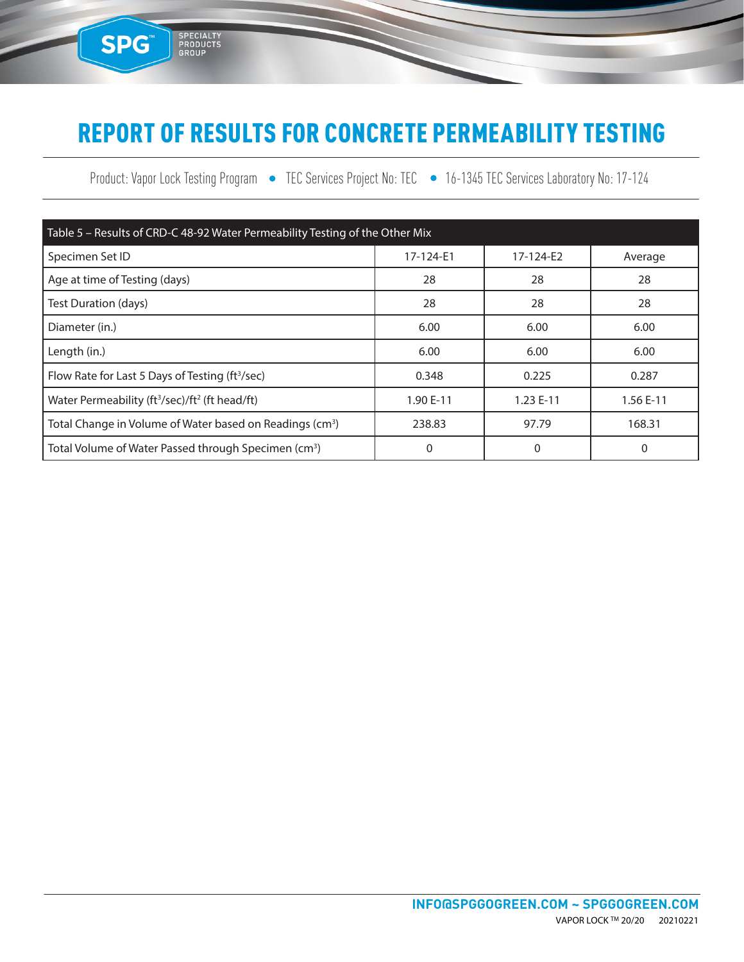# REPORT OF RESULTS FOR CONCRETE PERMEABILITY TESTING

SPG<sup>®</sup>

SPECIALTY<br>PRODUCTS<br>GROUP

Product: Vapor Lock Testing Program • TEC Services Project No: TEC • 16-1345 TEC Services Laboratory No: 17-124

| Table 5 - Results of CRD-C 48-92 Water Permeability Testing of the Other Mix |           |           |           |  |  |
|------------------------------------------------------------------------------|-----------|-----------|-----------|--|--|
| Specimen Set ID                                                              | 17-124-E1 | 17-124-E2 | Average   |  |  |
| Age at time of Testing (days)                                                | 28        | 28        | 28        |  |  |
| Test Duration (days)                                                         | 28        | 28        | 28        |  |  |
| Diameter (in.)                                                               | 6.00      | 6.00      | 6.00      |  |  |
| Length (in.)                                                                 | 6.00      | 6.00      | 6.00      |  |  |
| Flow Rate for Last 5 Days of Testing (ft <sup>3</sup> /sec)                  | 0.348     | 0.225     | 0.287     |  |  |
| Water Permeability (ft <sup>3</sup> /sec)/ft <sup>2</sup> (ft head/ft)       | 1.90 E-11 | 1.23 E-11 | 1.56 E-11 |  |  |
| Total Change in Volume of Water based on Readings (cm <sup>3</sup> )         | 238.83    | 97.79     | 168.31    |  |  |
| Total Volume of Water Passed through Specimen (cm <sup>3</sup> )             | 0         | 0         | 0         |  |  |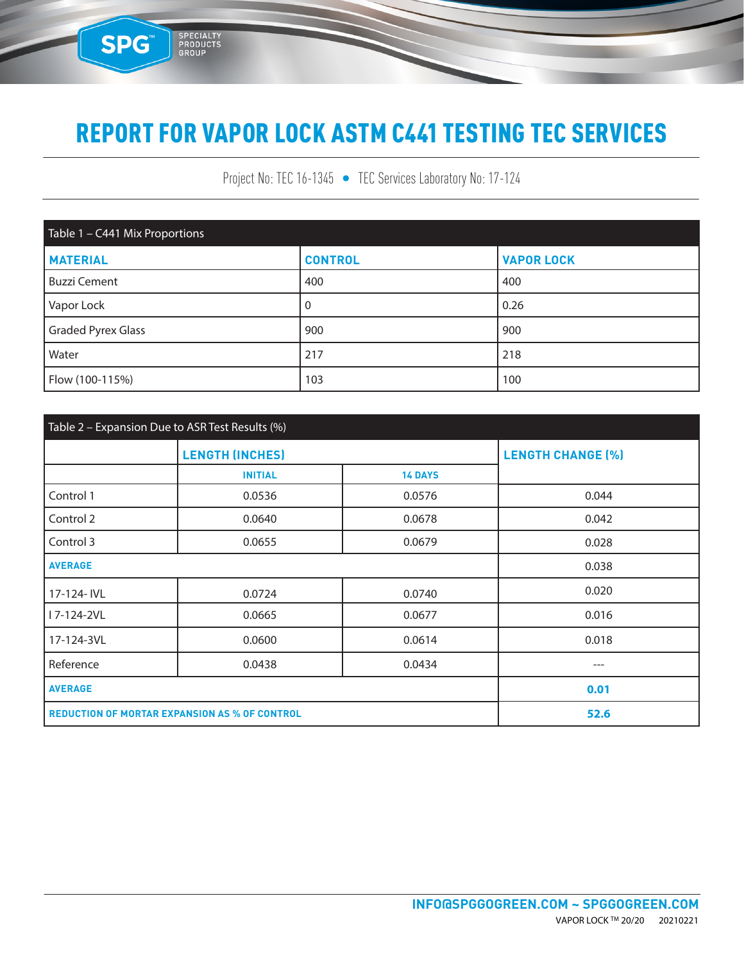SPG

SPECIALTY<br>PRODUCTS<br>GROUP

Project No: TEC 16-1345 • TEC Services Laboratory No: 17-124

| Table 1 - C441 Mix Proportions |                |                   |  |  |  |
|--------------------------------|----------------|-------------------|--|--|--|
| <b>MATERIAL</b>                | <b>CONTROL</b> | <b>VAPOR LOCK</b> |  |  |  |
| <b>Buzzi Cement</b>            | 400            | 400               |  |  |  |
| Vapor Lock                     | 0              | 0.26              |  |  |  |
| <b>Graded Pyrex Glass</b>      | 900            | 900               |  |  |  |
| Water                          | 217            | 218               |  |  |  |
| Flow (100-115%)                | 103            | 100               |  |  |  |

| Table 2 - Expansion Due to ASR Test Results (%)      |                        |                          |       |  |  |
|------------------------------------------------------|------------------------|--------------------------|-------|--|--|
|                                                      | <b>LENGTH (INCHES)</b> | <b>LENGTH CHANGE (%)</b> |       |  |  |
|                                                      | <b>INITIAL</b>         | <b>14 DAYS</b>           |       |  |  |
| Control 1                                            | 0.0536                 | 0.0576                   | 0.044 |  |  |
| Control 2                                            | 0.0640                 | 0.0678                   | 0.042 |  |  |
| Control 3                                            | 0.0655                 | 0.0679                   | 0.028 |  |  |
| <b>AVERAGE</b>                                       |                        | 0.038                    |       |  |  |
| 17-124- IVL                                          | 0.0724                 | 0.0740                   | 0.020 |  |  |
| I 7-124-2VL                                          | 0.0665                 | 0.0677                   | 0.016 |  |  |
| 17-124-3VL                                           | 0.0600                 | 0.0614                   | 0.018 |  |  |
| Reference                                            | 0.0438                 | 0.0434                   | $---$ |  |  |
| <b>AVERAGE</b>                                       |                        |                          | 0.01  |  |  |
| <b>REDUCTION OF MORTAR EXPANSION AS % OF CONTROL</b> |                        |                          | 52.6  |  |  |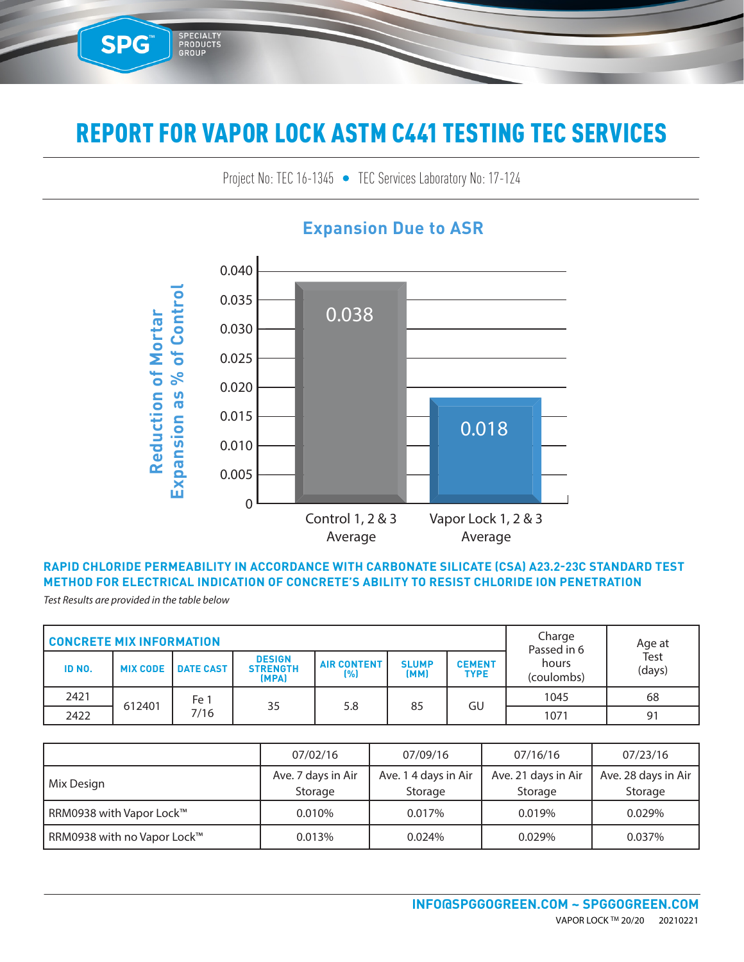Project No: TEC 16-1345 • TEC Services Laboratory No: 17-124 TEC SENICES LADORATORY NO: 17-124



### **Expansion Due to ASR**

#### **RAPID CHLORIDE PERMEABILITY IN ACCORDANCE WITH CARBONATE SILICATE (CSA) A23.2-23C STANDARD TEST METHOD FOR ELECTRICAL INDICATION OF CONCRETE'S ABILITY TO RESIST CHLORIDE ION PENETRATION**

*Test Results are provided in the table below*

SPG™

3E-09

5E-09

SPECIALTY<br>PRODUCTS<br>GROUP

6E-09

| <b>CONCRETE MIX INFORMATION</b> |                 |                  |                                           |                           |                      | Charge<br>Passed in 6        | Age at<br>Test      |        |    |
|---------------------------------|-----------------|------------------|-------------------------------------------|---------------------------|----------------------|------------------------------|---------------------|--------|----|
| ID NO.                          | <b>MIX CODE</b> | <b>DATE CAST</b> | <b>DESIGN</b><br><b>STRENGTH</b><br>(MPA) | <b>AIR CONTENT</b><br>(%) | <b>SLUMP</b><br>(MM) | <b>CEMENT</b><br><b>TYPE</b> | hours<br>(coulombs) | (days) |    |
| 2421                            |                 | Fe 1             |                                           |                           |                      |                              | 1045                | 68     |    |
| 2422                            | 612401          | 7/16             |                                           | 35                        | 5.8                  | 85                           | GU                  | 1071   | 91 |

|                             | 07/02/16                      | 07/09/16                        | 07/16/16                       | 07/23/16                       |
|-----------------------------|-------------------------------|---------------------------------|--------------------------------|--------------------------------|
| Mix Design                  | Ave. 7 days in Air<br>Storage | Ave. 1 4 days in Air<br>Storage | Ave. 21 days in Air<br>Storage | Ave. 28 days in Air<br>Storage |
| RRM0938 with Vapor Lock™    | 0.010%                        | 0.017%                          | 0.019%                         | 0.029%                         |
| RRM0938 with no Vapor Lock™ | 0.013%                        | 0.024%                          | 0.029%                         | 0.037%                         |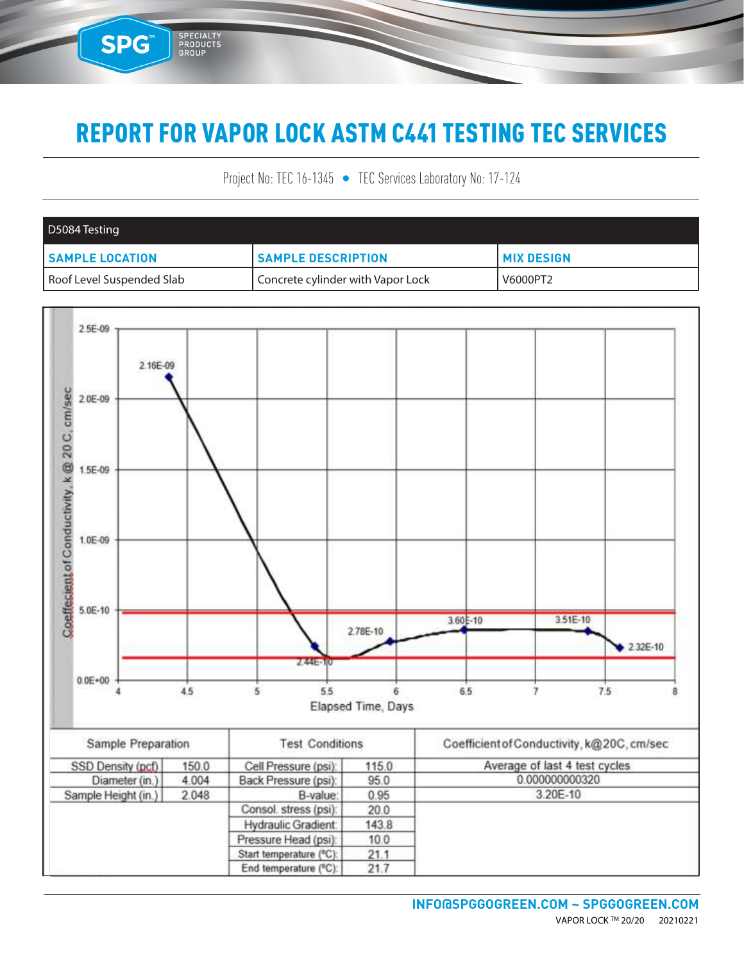SPG™

SPECIALTY<br>PRODUCTS<br>GROUP

Project No: TEC 16-1345 • TEC Services Laboratory No: 17-124

| D5084 Testing             |                                   |                     |
|---------------------------|-----------------------------------|---------------------|
| <b>SAMPLE LOCATION</b>    | <b>SAMPLE DESCRIPTION</b>         | <b>I MIX DESIGN</b> |
| Roof Level Suspended Slab | Concrete cylinder with Vapor Lock | V6000PT2            |

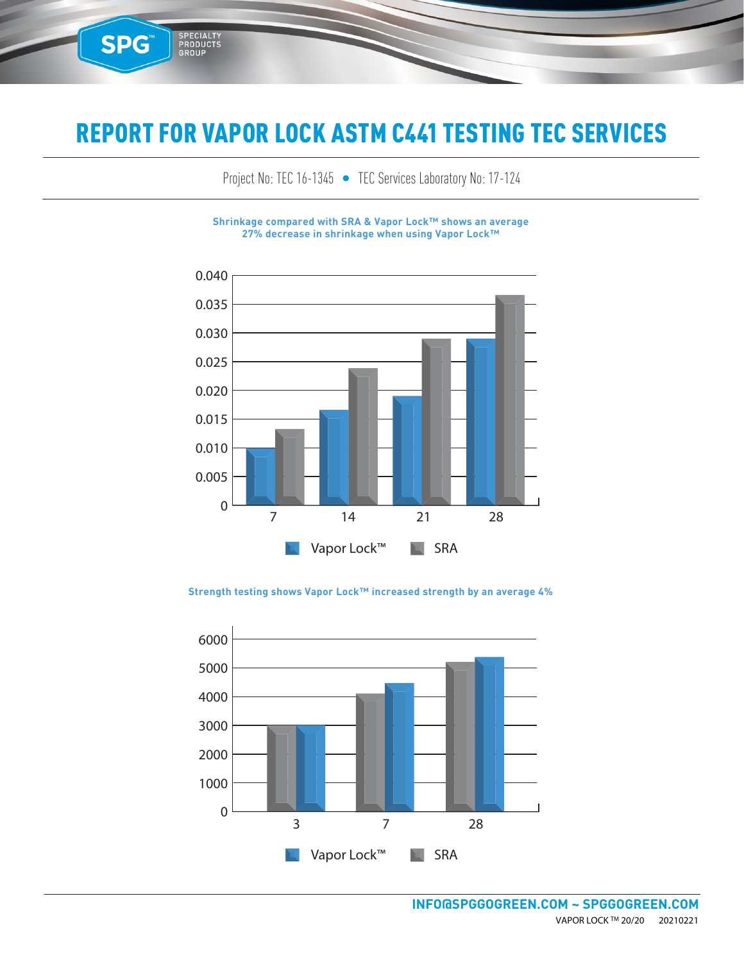**SPG™** 

SPECIALTY<br>PRODUCTS<br>GROUP

Project No: TEC 16-1345 • TEC Services Laboratory No: 17-124

**Shrinkage compared with SRA & Vapor Lock™ shows an average 27% decrease in shrinkage when using Vapor Lock™**



0.040 **Strength testing shows Vapor Lock™ increased strength by an average 4%**